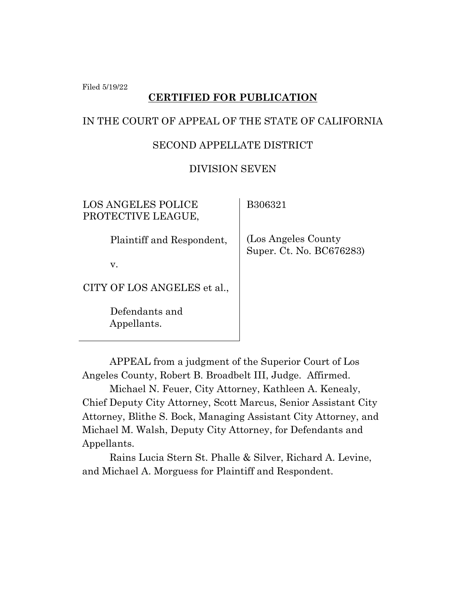Filed 5/19/22

## **CERTIFIED FOR PUBLICATION**

### IN THE COURT OF APPEAL OF THE STATE OF CALIFORNIA

### SECOND APPELLATE DISTRICT

### DIVISION SEVEN

| LOS ANGELES POLICE<br>PROTECTIVE LEAGUE, | B306321                                          |
|------------------------------------------|--------------------------------------------------|
| Plaintiff and Respondent,                | (Los Angeles County)<br>Super. Ct. No. BC676283) |
| v.                                       |                                                  |
| CITY OF LOS ANGELES et al.,              |                                                  |
| Defendants and<br>Appellants.            |                                                  |

APPEAL from a judgment of the Superior Court of Los Angeles County, Robert B. Broadbelt III, Judge. Affirmed.

Michael N. Feuer, City Attorney, Kathleen A. Kenealy, Chief Deputy City Attorney, Scott Marcus, Senior Assistant City Attorney, Blithe S. Bock, Managing Assistant City Attorney, and Michael M. Walsh, Deputy City Attorney, for Defendants and Appellants.

Rains Lucia Stern St. Phalle & Silver, Richard A. Levine, and Michael A. Morguess for Plaintiff and Respondent.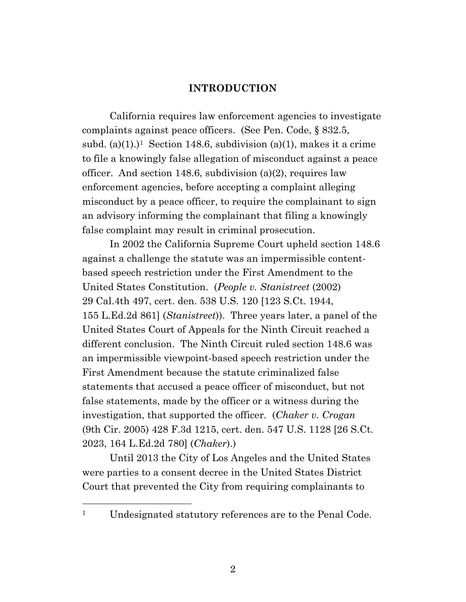#### **INTRODUCTION**

California requires law enforcement agencies to investigate complaints against peace officers. (See Pen. Code, § 832.5, subd. (a)(1).)<sup>1</sup> Section 148.6, subdivision (a)(1), makes it a crime to file a knowingly false allegation of misconduct against a peace officer. And section 148.6, subdivision (a)(2), requires law enforcement agencies, before accepting a complaint alleging misconduct by a peace officer, to require the complainant to sign an advisory informing the complainant that filing a knowingly false complaint may result in criminal prosecution.

In 2002 the California Supreme Court upheld section 148.6 against a challenge the statute was an impermissible contentbased speech restriction under the First Amendment to the United States Constitution. (*People v. Stanistreet* (2002) 29 Cal.4th 497, cert. den. 538 U.S. 120 [123 S.Ct. 1944, 155 L.Ed.2d 861] (*Stanistreet*)). Three years later, a panel of the United States Court of Appeals for the Ninth Circuit reached a different conclusion. The Ninth Circuit ruled section 148.6 was an impermissible viewpoint-based speech restriction under the First Amendment because the statute criminalized false statements that accused a peace officer of misconduct, but not false statements, made by the officer or a witness during the investigation, that supported the officer. (*Chaker v. Crogan*  (9th Cir. 2005) 428 F.3d 1215, cert. den. 547 U.S. 1128 [26 S.Ct. 2023, 164 L.Ed.2d 780] (*Chaker*).)

Until 2013 the City of Los Angeles and the United States were parties to a consent decree in the United States District Court that prevented the City from requiring complainants to

<sup>&</sup>lt;sup>1</sup> Undesignated statutory references are to the Penal Code.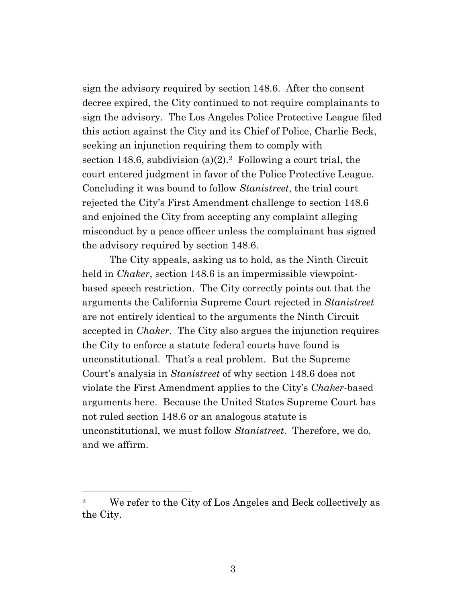sign the advisory required by section 148.6. After the consent decree expired, the City continued to not require complainants to sign the advisory. The Los Angeles Police Protective League filed this action against the City and its Chief of Police, Charlie Beck, seeking an injunction requiring them to comply with section 148.6, subdivision (a)(2).<sup>2</sup> Following a court trial, the court entered judgment in favor of the Police Protective League. Concluding it was bound to follow *Stanistreet*, the trial court rejected the City's First Amendment challenge to section 148.6 and enjoined the City from accepting any complaint alleging misconduct by a peace officer unless the complainant has signed the advisory required by section 148.6.

The City appeals, asking us to hold, as the Ninth Circuit held in *Chaker*, section 148.6 is an impermissible viewpointbased speech restriction. The City correctly points out that the arguments the California Supreme Court rejected in *Stanistreet*  are not entirely identical to the arguments the Ninth Circuit accepted in *Chaker*. The City also argues the injunction requires the City to enforce a statute federal courts have found is unconstitutional. That's a real problem. But the Supreme Court's analysis in *Stanistreet* of why section 148.6 does not violate the First Amendment applies to the City's *Chaker*-based arguments here. Because the United States Supreme Court has not ruled section 148.6 or an analogous statute is unconstitutional, we must follow *Stanistreet*. Therefore, we do, and we affirm.

<sup>2</sup> We refer to the City of Los Angeles and Beck collectively as the City.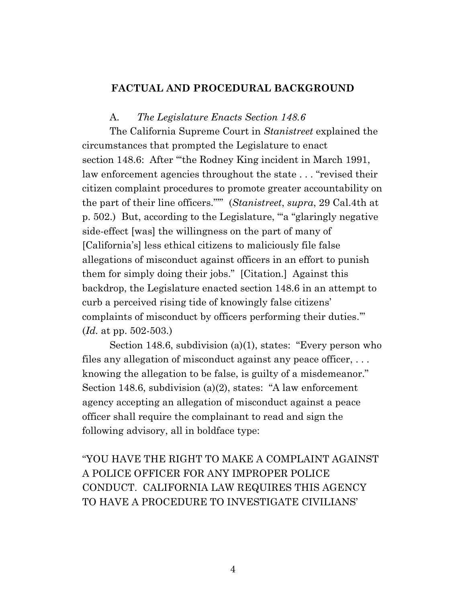### **FACTUAL AND PROCEDURAL BACKGROUND**

A. *The Legislature Enacts Section 148.6*

The California Supreme Court in *Stanistreet* explained the circumstances that prompted the Legislature to enact section 148.6: After ""the Rodney King incident in March 1991, law enforcement agencies throughout the state . . . "revised their citizen complaint procedures to promote greater accountability on the part of their line officers."'" (*Stanistreet*, *supra*, 29 Cal.4th at p. 502.) But, according to the Legislature, "'a "glaringly negative side-effect [was] the willingness on the part of many of [California's] less ethical citizens to maliciously file false allegations of misconduct against officers in an effort to punish them for simply doing their jobs." [Citation.] Against this backdrop, the Legislature enacted section 148.6 in an attempt to curb a perceived rising tide of knowingly false citizens' complaints of misconduct by officers performing their duties.'" (*Id.* at pp. 502-503.)

Section 148.6, subdivision (a)(1), states: "Every person who files any allegation of misconduct against any peace officer, ... knowing the allegation to be false, is guilty of a misdemeanor." Section 148.6, subdivision (a)(2), states: "A law enforcement agency accepting an allegation of misconduct against a peace officer shall require the complainant to read and sign the following advisory, all in boldface type:

"YOU HAVE THE RIGHT TO MAKE A COMPLAINT AGAINST A POLICE OFFICER FOR ANY IMPROPER POLICE CONDUCT. CALIFORNIA LAW REQUIRES THIS AGENCY TO HAVE A PROCEDURE TO INVESTIGATE CIVILIANS'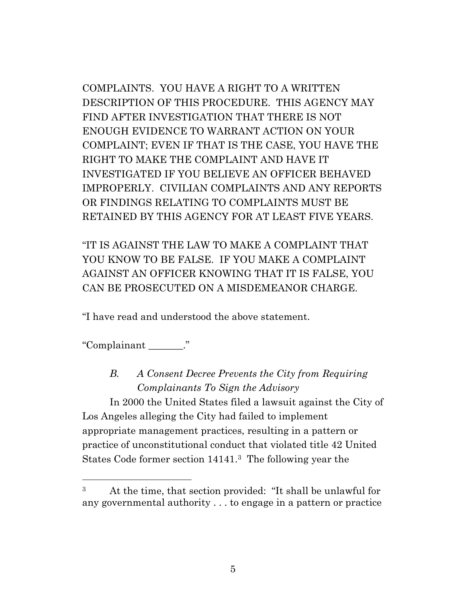COMPLAINTS. YOU HAVE A RIGHT TO A WRITTEN DESCRIPTION OF THIS PROCEDURE. THIS AGENCY MAY FIND AFTER INVESTIGATION THAT THERE IS NOT ENOUGH EVIDENCE TO WARRANT ACTION ON YOUR COMPLAINT; EVEN IF THAT IS THE CASE, YOU HAVE THE RIGHT TO MAKE THE COMPLAINT AND HAVE IT INVESTIGATED IF YOU BELIEVE AN OFFICER BEHAVED IMPROPERLY. CIVILIAN COMPLAINTS AND ANY REPORTS OR FINDINGS RELATING TO COMPLAINTS MUST BE RETAINED BY THIS AGENCY FOR AT LEAST FIVE YEARS.

"IT IS AGAINST THE LAW TO MAKE A COMPLAINT THAT YOU KNOW TO BE FALSE. IF YOU MAKE A COMPLAINT AGAINST AN OFFICER KNOWING THAT IT IS FALSE, YOU CAN BE PROSECUTED ON A MISDEMEANOR CHARGE.

"I have read and understood the above statement.

"Complainant \_\_\_\_\_\_\_."

*B. A Consent Decree Prevents the City from Requiring Complainants To Sign the Advisory* 

In 2000 the United States filed a lawsuit against the City of Los Angeles alleging the City had failed to implement appropriate management practices, resulting in a pattern or practice of unconstitutional conduct that violated title 42 United States Code former section 14141. <sup>3</sup> The following year the

<sup>3</sup> At the time, that section provided: "It shall be unlawful for any governmental authority . . . to engage in a pattern or practice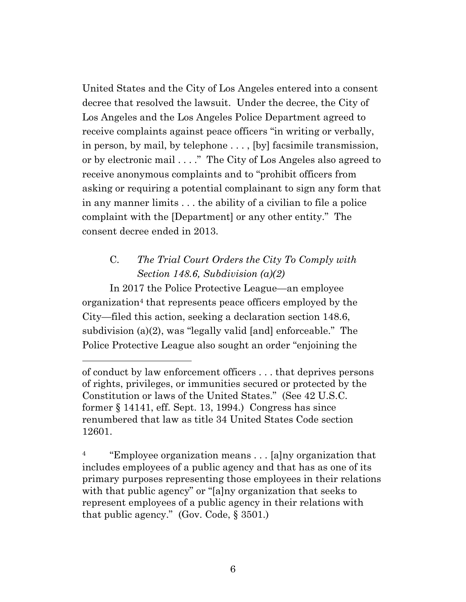United States and the City of Los Angeles entered into a consent decree that resolved the lawsuit. Under the decree, the City of Los Angeles and the Los Angeles Police Department agreed to receive complaints against peace officers "in writing or verbally, in person, by mail, by telephone . . . , [by] facsimile transmission, or by electronic mail . . . ." The City of Los Angeles also agreed to receive anonymous complaints and to "prohibit officers from asking or requiring a potential complainant to sign any form that in any manner limits . . . the ability of a civilian to file a police complaint with the [Department] or any other entity." The consent decree ended in 2013.

# C. *The Trial Court Orders the City To Comply with Section 148.6, Subdivision (a)(2)*

In 2017 the Police Protective League—an employee organization<sup>4</sup> that represents peace officers employed by the City—filed this action, seeking a declaration section 148.6, subdivision (a)(2), was "legally valid [and] enforceable." The Police Protective League also sought an order "enjoining the

<sup>4</sup> "Employee organization means  $\dots$  [a]ny organization that includes employees of a public agency and that has as one of its primary purposes representing those employees in their relations with that public agency" or "[a]ny organization that seeks to represent employees of a public agency in their relations with that public agency." (Gov. Code,  $\S 3501$ .)

of conduct by law enforcement officers . . . that deprives persons of rights, privileges, or immunities secured or protected by the Constitution or laws of the United States." (See 42 U.S.C. former § 14141, eff. Sept. 13, 1994.) Congress has since renumbered that law as title 34 United States Code section 12601.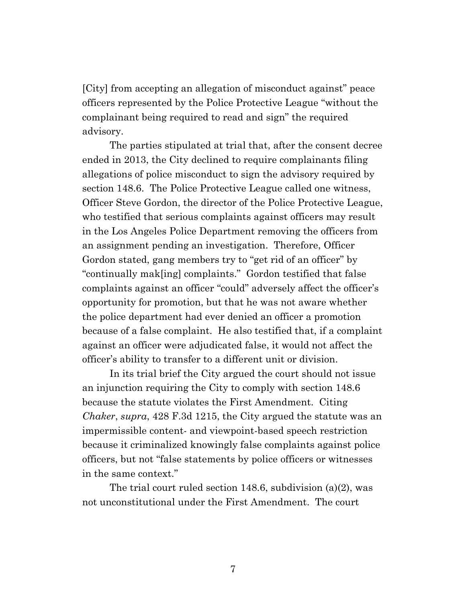[City] from accepting an allegation of misconduct against" peace officers represented by the Police Protective League "without the complainant being required to read and sign" the required advisory.

The parties stipulated at trial that, after the consent decree ended in 2013, the City declined to require complainants filing allegations of police misconduct to sign the advisory required by section 148.6. The Police Protective League called one witness, Officer Steve Gordon, the director of the Police Protective League, who testified that serious complaints against officers may result in the Los Angeles Police Department removing the officers from an assignment pending an investigation. Therefore, Officer Gordon stated, gang members try to "get rid of an officer" by "continually mak[ing] complaints." Gordon testified that false complaints against an officer "could" adversely affect the officer's opportunity for promotion, but that he was not aware whether the police department had ever denied an officer a promotion because of a false complaint. He also testified that, if a complaint against an officer were adjudicated false, it would not affect the officer's ability to transfer to a different unit or division.

In its trial brief the City argued the court should not issue an injunction requiring the City to comply with section 148.6 because the statute violates the First Amendment. Citing *Chaker*, *supra*, 428 F.3d 1215, the City argued the statute was an impermissible content- and viewpoint-based speech restriction because it criminalized knowingly false complaints against police officers, but not "false statements by police officers or witnesses in the same context."

The trial court ruled section 148.6, subdivision (a)(2), was not unconstitutional under the First Amendment. The court

7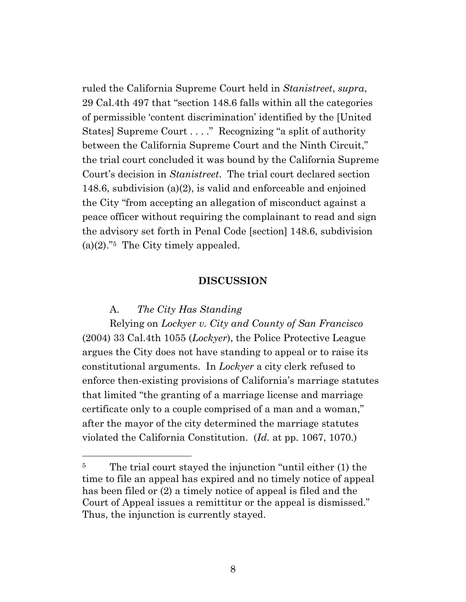ruled the California Supreme Court held in *Stanistreet*, *supra*, 29 Cal.4th 497 that "section 148.6 falls within all the categories of permissible 'content discrimination' identified by the [United States] Supreme Court . . . ." Recognizing "a split of authority between the California Supreme Court and the Ninth Circuit," the trial court concluded it was bound by the California Supreme Court's decision in *Stanistreet*. The trial court declared section 148.6, subdivision (a)(2), is valid and enforceable and enjoined the City "from accepting an allegation of misconduct against a peace officer without requiring the complainant to read and sign the advisory set forth in Penal Code [section] 148.6, subdivision  $(a)(2)$ ."<sup>5</sup> The City timely appealed.

#### **DISCUSSION**

#### A. *The City Has Standing*

Relying on *Lockyer v. City and County of San Francisco*  (2004) 33 Cal.4th 1055 (*Lockyer*), the Police Protective League argues the City does not have standing to appeal or to raise its constitutional arguments. In *Lockyer* a city clerk refused to enforce then-existing provisions of California's marriage statutes that limited "the granting of a marriage license and marriage certificate only to a couple comprised of a man and a woman," after the mayor of the city determined the marriage statutes violated the California Constitution. (*Id.* at pp. 1067, 1070.)

<sup>&</sup>lt;sup>5</sup> The trial court stayed the injunction "until either (1) the time to file an appeal has expired and no timely notice of appeal has been filed or (2) a timely notice of appeal is filed and the Court of Appeal issues a remittitur or the appeal is dismissed." Thus, the injunction is currently stayed.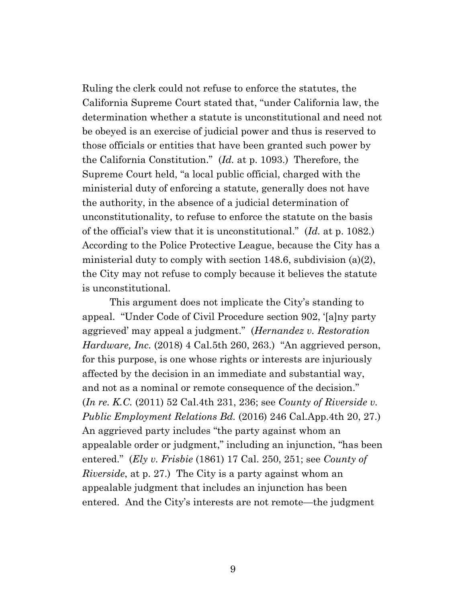Ruling the clerk could not refuse to enforce the statutes, the California Supreme Court stated that, "under California law, the determination whether a statute is unconstitutional and need not be obeyed is an exercise of judicial power and thus is reserved to those officials or entities that have been granted such power by the California Constitution." (*Id.* at p. 1093.) Therefore, the Supreme Court held, "a local public official, charged with the ministerial duty of enforcing a statute, generally does not have the authority, in the absence of a judicial determination of unconstitutionality, to refuse to enforce the statute on the basis of the official's view that it is unconstitutional." (*Id.* at p. 1082.) According to the Police Protective League, because the City has a ministerial duty to comply with section 148.6, subdivision (a)(2), the City may not refuse to comply because it believes the statute is unconstitutional.

This argument does not implicate the City's standing to appeal. "Under Code of Civil Procedure section 902, '[a]ny party aggrieved' may appeal a judgment." (*Hernandez v. Restoration Hardware, Inc.* (2018) 4 Cal.5th 260, 263.) "An aggrieved person, for this purpose, is one whose rights or interests are injuriously affected by the decision in an immediate and substantial way, and not as a nominal or remote consequence of the decision." (*In re. K.C.* (2011) 52 Cal.4th 231, 236; see *County of Riverside v. Public Employment Relations Bd.* (2016) 246 Cal.App.4th 20, 27.) An aggrieved party includes "the party against whom an appealable order or judgment," including an injunction, "has been entered." (*Ely v. Frisbie* (1861) 17 Cal. 250, 251; see *County of Riverside*, at p. 27.) The City is a party against whom an appealable judgment that includes an injunction has been entered. And the City's interests are not remote—the judgment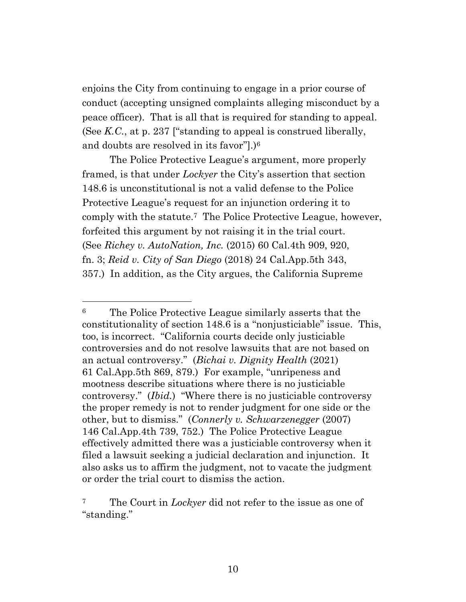enjoins the City from continuing to engage in a prior course of conduct (accepting unsigned complaints alleging misconduct by a peace officer). That is all that is required for standing to appeal. (See *K.C.*, at p. 237 ["standing to appeal is construed liberally, and doubts are resolved in its favor"].)<sup>6</sup>

The Police Protective League's argument, more properly framed, is that under *Lockyer* the City's assertion that section 148.6 is unconstitutional is not a valid defense to the Police Protective League's request for an injunction ordering it to comply with the statute.<sup>7</sup> The Police Protective League, however, forfeited this argument by not raising it in the trial court. (See *Richey v. AutoNation, Inc.* (2015) 60 Cal.4th 909, 920, fn. 3; *Reid v. City of San Diego* (2018) 24 Cal.App.5th 343, 357.) In addition, as the City argues, the California Supreme

<sup>6</sup> The Police Protective League similarly asserts that the constitutionality of section 148.6 is a "nonjusticiable" issue. This, too, is incorrect. "California courts decide only justiciable controversies and do not resolve lawsuits that are not based on an actual controversy." (*Bichai v. Dignity Health* (2021) 61 Cal.App.5th 869, 879.) For example, "unripeness and mootness describe situations where there is no justiciable controversy." (*Ibid.*) "Where there is no justiciable controversy the proper remedy is not to render judgment for one side or the other, but to dismiss." (*Connerly v. Schwarzenegger* (2007) 146 Cal.App.4th 739, 752.) The Police Protective League effectively admitted there was a justiciable controversy when it filed a lawsuit seeking a judicial declaration and injunction. It also asks us to affirm the judgment, not to vacate the judgment or order the trial court to dismiss the action.

<sup>7</sup> The Court in *Lockyer* did not refer to the issue as one of "standing."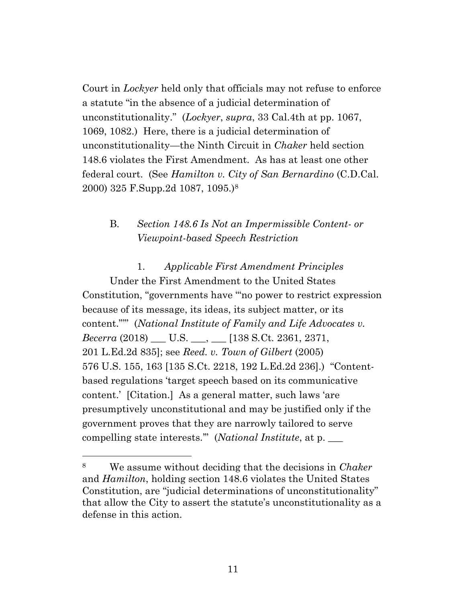Court in *Lockyer* held only that officials may not refuse to enforce a statute "in the absence of a judicial determination of unconstitutionality." (*Lockyer*, *supra*, 33 Cal.4th at pp. 1067, 1069, 1082.) Here, there is a judicial determination of unconstitutionality—the Ninth Circuit in *Chaker* held section 148.6 violates the First Amendment. As has at least one other federal court. (See *Hamilton v. City of San Bernardino* (C.D.Cal. 2000) 325 F.Supp.2d 1087, 1095.)<sup>8</sup>

## B. *Section 148.6 Is Not an Impermissible Content- or Viewpoint-based Speech Restriction*

1. *Applicable First Amendment Principles* Under the First Amendment to the United States Constitution, "governments have '"no power to restrict expression because of its message, its ideas, its subject matter, or its content."'" (*National Institute of Family and Life Advocates v. Becerra* (2018) \_\_\_ U.S. \_\_\_, \_\_\_ [138 S*.*Ct*.* 2361, 2371, 201 L.Ed.2d 835]; see *Reed. v. Town of Gilbert* (2005) 576 U.S. 155, 163 [135 S.Ct. 2218, 192 L.Ed.2d 236].) "Contentbased regulations 'target speech based on its communicative content.' [Citation.] As a general matter, such laws 'are presumptively unconstitutional and may be justified only if the government proves that they are narrowly tailored to serve compelling state interests.'"(*National Institute*, at p. \_\_\_

<sup>8</sup> We assume without deciding that the decisions in *Chaker* and *Hamilton*, holding section 148.6 violates the United States Constitution, are "judicial determinations of unconstitutionality" that allow the City to assert the statute's unconstitutionality as a defense in this action.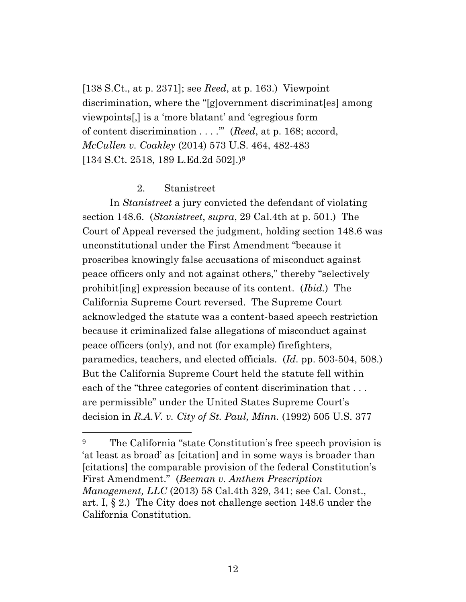[138 S.Ct., at p. 2371]; see *Reed*, at p. 163.) Viewpoint discrimination, where the "[g]overnment discriminat[es] among viewpoints[,] is a 'more blatant' and 'egregious form of content discrimination . . . .'" (*Reed*, at p. 168; accord, *McCullen v. Coakley* (2014) 573 U.S. 464, 482-483 [134 S.Ct. 2518, 189 L.Ed.2d 502].)<sup>9</sup>

#### 2. Stanistreet

In *Stanistreet* a jury convicted the defendant of violating section 148.6. (*Stanistreet*, *supra*, 29 Cal.4th at p. 501.) The Court of Appeal reversed the judgment, holding section 148.6 was unconstitutional under the First Amendment "because it proscribes knowingly false accusations of misconduct against peace officers only and not against others," thereby "selectively prohibit[ing] expression because of its content. (*Ibid.*) The California Supreme Court reversed. The Supreme Court acknowledged the statute was a content-based speech restriction because it criminalized false allegations of misconduct against peace officers (only), and not (for example) firefighters, paramedics, teachers, and elected officials. (*Id.* pp. 503-504, 508.) But the California Supreme Court held the statute fell within each of the "three categories of content discrimination that ... are permissible" under the United States Supreme Court's decision in *R.A.V. v. City of St. Paul, Minn.* (1992) 505 U.S. 377

<sup>&</sup>lt;sup>9</sup> The California "state Constitution's free speech provision is 'at least as broad' as [citation] and in some ways is broader than [citations] the comparable provision of the federal Constitution's First Amendment." (*Beeman v. Anthem Prescription Management, LLC* (2013) 58 Cal.4th 329, 341; see Cal. Const., art. I, § 2.) The City does not challenge section 148.6 under the California Constitution.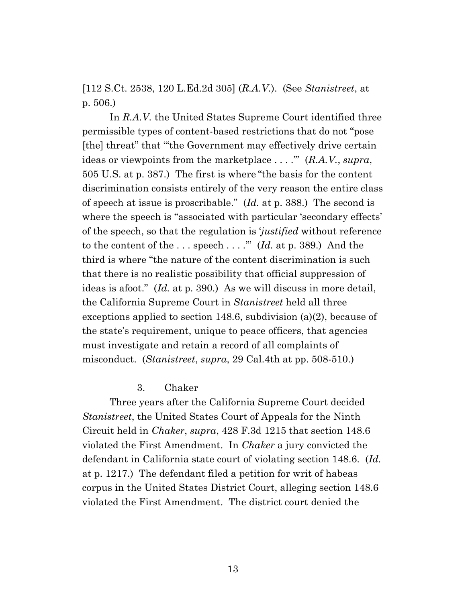[112 S.Ct. 2538, 120 L.Ed.2d 305] (*R.A.V.*). (See *Stanistreet*, at p. 506.)

In *R.A.V.* the United States Supreme Court identified three permissible types of content-based restrictions that do not "pose [the] threat" that "'the Government may effectively drive certain ideas or viewpoints from the marketplace . . . .'" (*R.A.V.*, *supra*, 505 U.S. at p. 387.) The first is where "the basis for the content discrimination consists entirely of the very reason the entire class of speech at issue is proscribable." (*Id.* at p. 388.) The second is where the speech is "associated with particular 'secondary effects' of the speech, so that the regulation is '*justified* without reference to the content of the . . . speech . . . .'" (*Id.* at p. 389.) And the third is where "the nature of the content discrimination is such that there is no realistic possibility that official suppression of ideas is afoot." (*Id.* at p. 390.) As we will discuss in more detail, the California Supreme Court in *Stanistreet* held all three exceptions applied to section 148.6, subdivision (a)(2), because of the state's requirement, unique to peace officers, that agencies must investigate and retain a record of all complaints of misconduct. (*Stanistreet*, *supra*, 29 Cal.4th at pp. 508-510.)

#### 3. Chaker

Three years after the California Supreme Court decided *Stanistreet*, the United States Court of Appeals for the Ninth Circuit held in *Chaker*, *supra*, 428 F.3d 1215 that section 148.6 violated the First Amendment. In *Chaker* a jury convicted the defendant in California state court of violating section 148.6. (*Id.*  at p. 1217.) The defendant filed a petition for writ of habeas corpus in the United States District Court, alleging section 148.6 violated the First Amendment. The district court denied the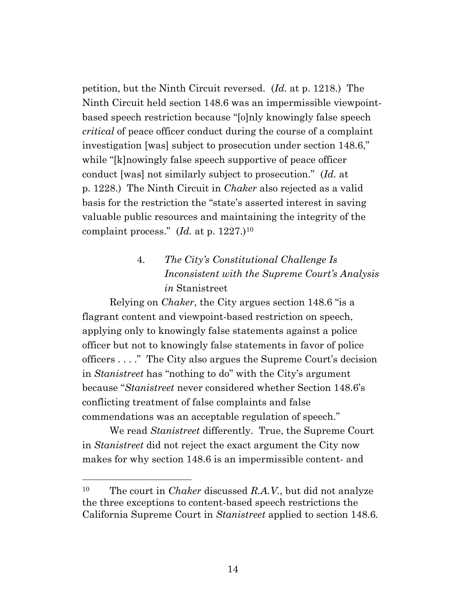petition, but the Ninth Circuit reversed. (*Id.* at p. 1218.) The Ninth Circuit held section 148.6 was an impermissible viewpointbased speech restriction because "[o]nly knowingly false speech *critical* of peace officer conduct during the course of a complaint investigation [was] subject to prosecution under section 148.6," while "[k]nowingly false speech supportive of peace officer conduct [was] not similarly subject to prosecution." (*Id.* at p. 1228.) The Ninth Circuit in *Chaker* also rejected as a valid basis for the restriction the "state's asserted interest in saving valuable public resources and maintaining the integrity of the complaint process." (*Id.* at p. 1227.)<sup>10</sup>

# 4. *The City's Constitutional Challenge Is Inconsistent with the Supreme Court's Analysis in* Stanistreet

Relying on *Chaker*, the City argues section 148.6 "is a flagrant content and viewpoint-based restriction on speech, applying only to knowingly false statements against a police officer but not to knowingly false statements in favor of police officers . . . ." The City also argues the Supreme Court's decision in *Stanistreet* has "nothing to do" with the City's argument because "*Stanistreet* never considered whether Section 148.6's conflicting treatment of false complaints and false commendations was an acceptable regulation of speech."

We read *Stanistreet* differently. True, the Supreme Court in *Stanistreet* did not reject the exact argument the City now makes for why section 148.6 is an impermissible content- and

<sup>10</sup> The court in *Chaker* discussed *R.A.V.*, but did not analyze the three exceptions to content-based speech restrictions the California Supreme Court in *Stanistreet* applied to section 148.6*.*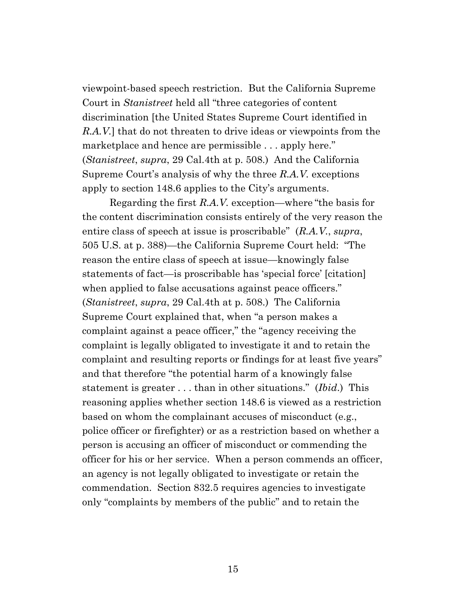viewpoint-based speech restriction. But the California Supreme Court in *Stanistreet* held all "three categories of content discrimination [the United States Supreme Court identified in *R.A.V.*] that do not threaten to drive ideas or viewpoints from the marketplace and hence are permissible . . . apply here." (*Stanistreet*, *supra*, 29 Cal.4th at p. 508.) And the California Supreme Court's analysis of why the three *R.A.V.* exceptions apply to section 148.6 applies to the City's arguments.

Regarding the first *R.A.V.* exception—where "the basis for the content discrimination consists entirely of the very reason the entire class of speech at issue is proscribable" (*R.A.V.*, *supra*, 505 U.S. at p. 388)—the California Supreme Court held: "The reason the entire class of speech at issue—knowingly false statements of fact—is proscribable has 'special force' [citation] when applied to false accusations against peace officers." (*Stanistreet*, *supra*, 29 Cal.4th at p. 508.) The California Supreme Court explained that, when "a person makes a complaint against a peace officer," the "agency receiving the complaint is legally obligated to investigate it and to retain the complaint and resulting reports or findings for at least five years" and that therefore "the potential harm of a knowingly false statement is greater . . . than in other situations." (*Ibid*.) This reasoning applies whether section 148.6 is viewed as a restriction based on whom the complainant accuses of misconduct (e.g., police officer or firefighter) or as a restriction based on whether a person is accusing an officer of misconduct or commending the officer for his or her service. When a person commends an officer, an agency is not legally obligated to investigate or retain the commendation. Section 832.5 requires agencies to investigate only "complaints by members of the public" and to retain the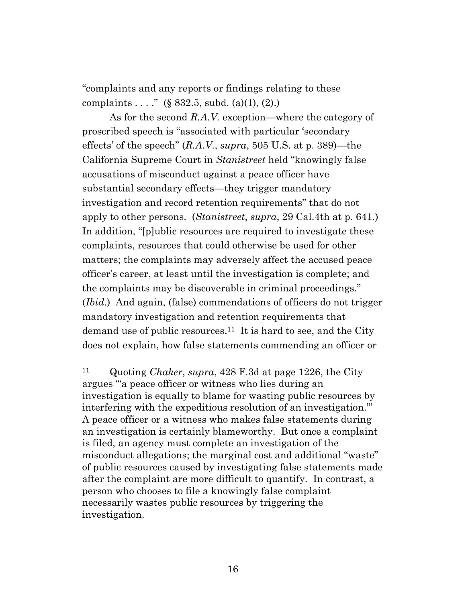"complaints and any reports or findings relating to these complaints . . . . " (§ 832.5, subd. (a)(1), (2).)

As for the second *R.A.V.* exception—where the category of proscribed speech is "associated with particular 'secondary effects' of the speech" (*R.A.V.*, *supra*, 505 U.S. at p. 389)—the California Supreme Court in *Stanistreet* held "knowingly false accusations of misconduct against a peace officer have substantial secondary effects—they trigger mandatory investigation and record retention requirements" that do not apply to other persons. (*Stanistreet*, *supra*, 29 Cal.4th at p. 641.) In addition, "[p]ublic resources are required to investigate these complaints, resources that could otherwise be used for other matters; the complaints may adversely affect the accused peace officer's career, at least until the investigation is complete; and the complaints may be discoverable in criminal proceedings." (*Ibid.*) And again, (false) commendations of officers do not trigger mandatory investigation and retention requirements that demand use of public resources.<sup>11</sup> It is hard to see, and the City does not explain, how false statements commending an officer or

<sup>11</sup> Quoting *Chaker*, *supra*, 428 F.3d at page 1226, the City argues "'a peace officer or witness who lies during an investigation is equally to blame for wasting public resources by interfering with the expeditious resolution of an investigation.'" A peace officer or a witness who makes false statements during an investigation is certainly blameworthy. But once a complaint is filed, an agency must complete an investigation of the misconduct allegations; the marginal cost and additional "waste" of public resources caused by investigating false statements made after the complaint are more difficult to quantify. In contrast, a person who chooses to file a knowingly false complaint necessarily wastes public resources by triggering the investigation.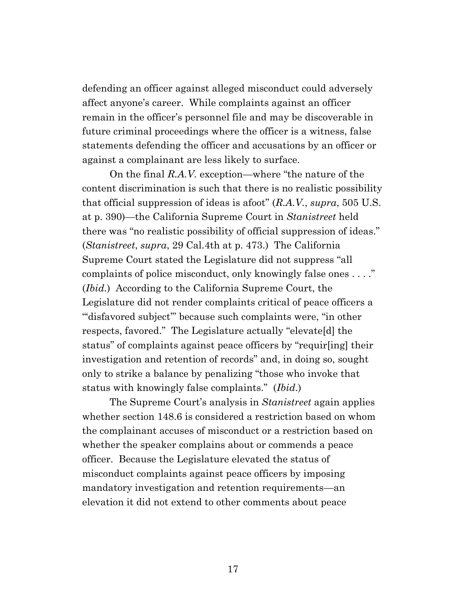defending an officer against alleged misconduct could adversely affect anyone's career. While complaints against an officer remain in the officer's personnel file and may be discoverable in future criminal proceedings where the officer is a witness, false statements defending the officer and accusations by an officer or against a complainant are less likely to surface.

On the final *R.A.V.* exception—where "the nature of the content discrimination is such that there is no realistic possibility that official suppression of ideas is afoot" (*R.A.V.*, *supra*, 505 U.S. at p. 390)—the California Supreme Court in *Stanistreet* held there was "no realistic possibility of official suppression of ideas." (*Stanistreet*, *supra*, 29 Cal.4th at p. 473.) The California Supreme Court stated the Legislature did not suppress "all complaints of police misconduct, only knowingly false ones . . . ." (*Ibid.*) According to the California Supreme Court, the Legislature did not render complaints critical of peace officers a "'disfavored subject'" because such complaints were, "in other respects, favored." The Legislature actually "elevate[d] the status" of complaints against peace officers by "requir[ing] their investigation and retention of records" and, in doing so, sought only to strike a balance by penalizing "those who invoke that status with knowingly false complaints." (*Ibid*.)

The Supreme Court's analysis in *Stanistreet* again applies whether section 148.6 is considered a restriction based on whom the complainant accuses of misconduct or a restriction based on whether the speaker complains about or commends a peace officer. Because the Legislature elevated the status of misconduct complaints against peace officers by imposing mandatory investigation and retention requirements—an elevation it did not extend to other comments about peace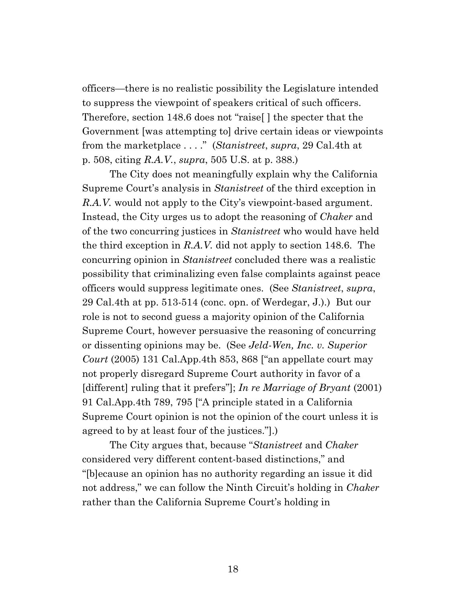officers—there is no realistic possibility the Legislature intended to suppress the viewpoint of speakers critical of such officers. Therefore, section 148.6 does not "raise[ ] the specter that the Government [was attempting to] drive certain ideas or viewpoints from the marketplace . . . ." (*Stanistreet*, *supra*, 29 Cal.4th at p. 508, citing *R.A.V.*, *supra*, 505 U.S. at p. 388.)

The City does not meaningfully explain why the California Supreme Court's analysis in *Stanistreet* of the third exception in *R.A.V.* would not apply to the City's viewpoint-based argument. Instead, the City urges us to adopt the reasoning of *Chaker* and of the two concurring justices in *Stanistreet* who would have held the third exception in *R.A.V.* did not apply to section 148.6. The concurring opinion in *Stanistreet* concluded there was a realistic possibility that criminalizing even false complaints against peace officers would suppress legitimate ones. (See *Stanistreet*, *supra*, 29 Cal.4th at pp. 513-514 (conc. opn. of Werdegar, J.).) But our role is not to second guess a majority opinion of the California Supreme Court, however persuasive the reasoning of concurring or dissenting opinions may be. (See *Jeld-Wen, Inc. v. Superior Court* (2005) 131 Cal.App.4th 853, 868 ["an appellate court may not properly disregard Supreme Court authority in favor of a [different] ruling that it prefers"]; *In re Marriage of Bryant* (2001) 91 Cal.App.4th 789, 795 ["A principle stated in a California Supreme Court opinion is not the opinion of the court unless it is agreed to by at least four of the justices."].)

The City argues that, because "*Stanistreet* and *Chaker*  considered very different content-based distinctions," and "[b]ecause an opinion has no authority regarding an issue it did not address," we can follow the Ninth Circuit's holding in *Chaker*  rather than the California Supreme Court's holding in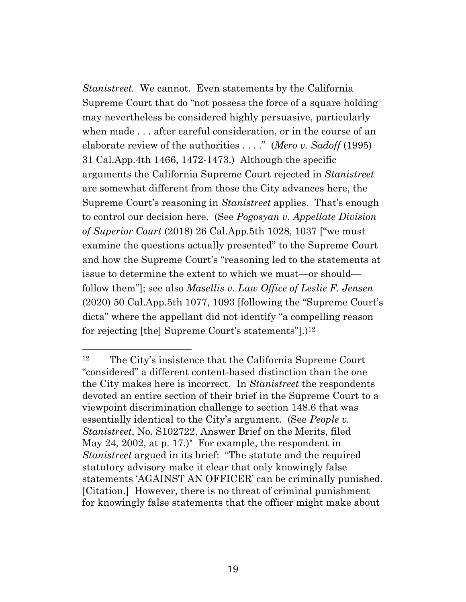*Stanistreet.* We cannot. Even statements by the California Supreme Court that do "not possess the force of a square holding may nevertheless be considered highly persuasive, particularly when made . . . after careful consideration, or in the course of an elaborate review of the authorities . . . ." (*Mero v. Sadoff* (1995) 31 Cal.App.4th 1466, 1472-1473.) Although the specific arguments the California Supreme Court rejected in *Stanistreet*  are somewhat different from those the City advances here, the Supreme Court's reasoning in *Stanistreet* applies. That's enough to control our decision here. (See *Pogosyan v. Appellate Division of Superior Court* (2018) 26 Cal.App.5th 1028, 1037 ["we must examine the questions actually presented" to the Supreme Court and how the Supreme Court's "reasoning led to the statements at issue to determine the extent to which we must—or should follow them"]; see also *Masellis v. Law Office of Leslie F. Jensen* (2020) 50 Cal.App.5th 1077, 1093 [following the "Supreme Court's dicta" where the appellant did not identify "a compelling reason for rejecting [the] Supreme Court's statements"].) 12

<sup>12</sup> The City's insistence that the California Supreme Court "considered" a different content-based distinction than the one the City makes here is incorrect. In *Stanistreet* the respondents devoted an entire section of their brief in the Supreme Court to a viewpoint discrimination challenge to section 148.6 that was essentially identical to the City's argument. (See *People v. Stanistreet*, No. S102722, Answer Brief on the Merits, filed May 24, 2002, at p. 17.)\* For example, the respondent in *Stanistreet* argued in its brief: "The statute and the required statutory advisory make it clear that only knowingly false statements 'AGAINST AN OFFICER' can be criminally punished. [Citation.] However, there is no threat of criminal punishment for knowingly false statements that the officer might make about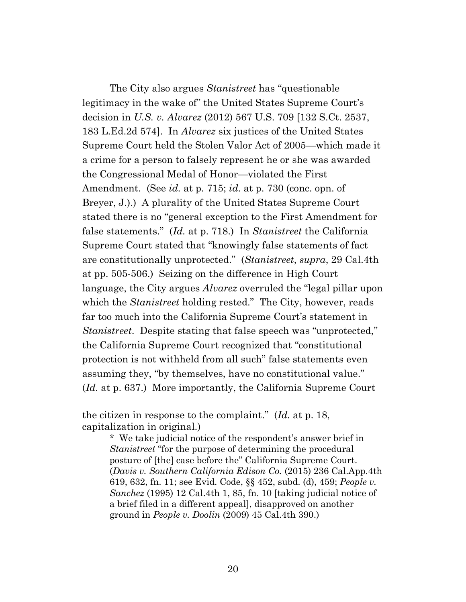The City also argues *Stanistreet* has "questionable legitimacy in the wake of" the United States Supreme Court's decision in *U.S. v. Alvarez* (2012) 567 U.S. 709 [132 S.Ct. 2537, 183 L.Ed.2d 574]. In *Alvarez* six justices of the United States Supreme Court held the Stolen Valor Act of 2005—which made it a crime for a person to falsely represent he or she was awarded the Congressional Medal of Honor—violated the First Amendment. (See *id.* at p. 715; *id.* at p. 730 (conc. opn. of Breyer, J.).) A plurality of the United States Supreme Court stated there is no "general exception to the First Amendment for false statements." (*Id.* at p. 718.) In *Stanistreet* the California Supreme Court stated that "knowingly false statements of fact are constitutionally unprotected." (*Stanistreet*, *supra*, 29 Cal.4th at pp. 505-506.) Seizing on the difference in High Court language, the City argues *Alvarez* overruled the "legal pillar upon which the *Stanistreet* holding rested." The City, however, reads far too much into the California Supreme Court's statement in *Stanistreet*. Despite stating that false speech was "unprotected," the California Supreme Court recognized that "constitutional protection is not withheld from all such" false statements even assuming they, "by themselves, have no constitutional value." (*Id.* at p. 637.) More importantly, the California Supreme Court

the citizen in response to the complaint." (*Id.* at p. 18, capitalization in original.)

<sup>\*</sup> We take judicial notice of the respondent's answer brief in *Stanistreet* "for the purpose of determining the procedural posture of [the] case before the" California Supreme Court. (*Davis v. Southern California Edison Co.* (2015) 236 Cal.App.4th 619, 632, fn. 11; see Evid. Code, §§ 452, subd. (d), 459; *People v. Sanchez* (1995) 12 Cal.4th 1, 85, fn. 10 [taking judicial notice of a brief filed in a different appeal], disapproved on another ground in *People v. Doolin* (2009) 45 Cal.4th 390.)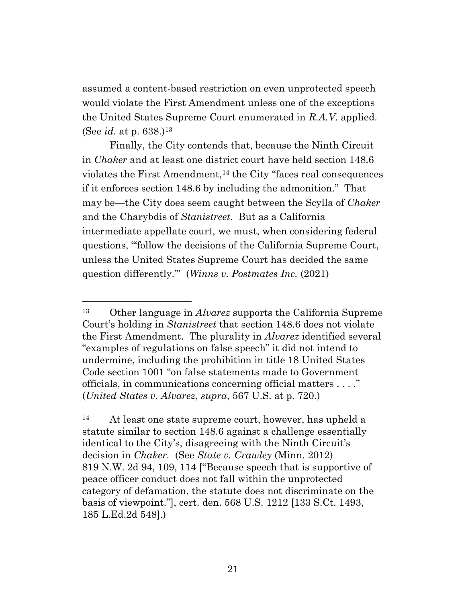assumed a content-based restriction on even unprotected speech would violate the First Amendment unless one of the exceptions the United States Supreme Court enumerated in *R.A.V.* applied. (See *id.* at p. 638.)<sup>13</sup>

Finally, the City contends that, because the Ninth Circuit in *Chaker* and at least one district court have held section 148.6 violates the First Amendment,<sup>14</sup> the City "faces real consequences" if it enforces section 148.6 by including the admonition." That may be—the City does seem caught between the Scylla of *Chaker* and the Charybdis of *Stanistreet*. But as a California intermediate appellate court, we must, when considering federal questions, "'follow the decisions of the California Supreme Court, unless the United States Supreme Court has decided the same question differently.'" (*Winns v. Postmates Inc.* (2021)

<sup>13</sup> Other language in *Alvarez* supports the California Supreme Court's holding in *Stanistreet* that section 148.6 does not violate the First Amendment. The plurality in *Alvarez* identified several "examples of regulations on false speech" it did not intend to undermine, including the prohibition in title 18 United States Code section 1001 "on false statements made to Government officials, in communications concerning official matters . . . ." (*United States v. Alvarez*, *supra*, 567 U.S. at p. 720.)

<sup>14</sup> At least one state supreme court, however, has upheld a statute similar to section 148.6 against a challenge essentially identical to the City's, disagreeing with the Ninth Circuit's decision in *Chaker.* (See *State v. Crawley* (Minn. 2012) 819 N.W. 2d 94, 109, 114 ["Because speech that is supportive of peace officer conduct does not fall within the unprotected category of defamation, the statute does not discriminate on the basis of viewpoint."], cert. den. 568 U.S. 1212 [133 S.Ct. 1493, 185 L.Ed.2d 548].)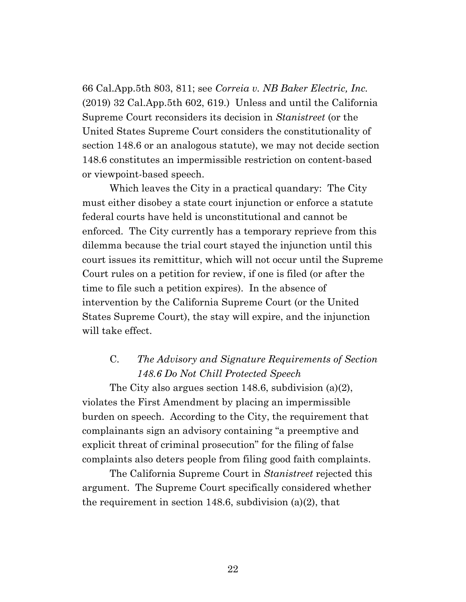66 Cal.App.5th 803, 811; see *Correia v. NB Baker Electric, Inc.* (2019) 32 Cal.App.5th 602, 619.) Unless and until the California Supreme Court reconsiders its decision in *Stanistreet* (or the United States Supreme Court considers the constitutionality of section 148.6 or an analogous statute), we may not decide section 148.6 constitutes an impermissible restriction on content-based or viewpoint-based speech.

Which leaves the City in a practical quandary: The City must either disobey a state court injunction or enforce a statute federal courts have held is unconstitutional and cannot be enforced. The City currently has a temporary reprieve from this dilemma because the trial court stayed the injunction until this court issues its remittitur, which will not occur until the Supreme Court rules on a petition for review, if one is filed (or after the time to file such a petition expires). In the absence of intervention by the California Supreme Court (or the United States Supreme Court), the stay will expire, and the injunction will take effect.

# C. *The Advisory and Signature Requirements of Section 148.6 Do Not Chill Protected Speech*

The City also argues section 148.6, subdivision (a)(2), violates the First Amendment by placing an impermissible burden on speech. According to the City, the requirement that complainants sign an advisory containing "a preemptive and explicit threat of criminal prosecution" for the filing of false complaints also deters people from filing good faith complaints.

The California Supreme Court in *Stanistreet* rejected this argument. The Supreme Court specifically considered whether the requirement in section 148.6, subdivision (a)(2), that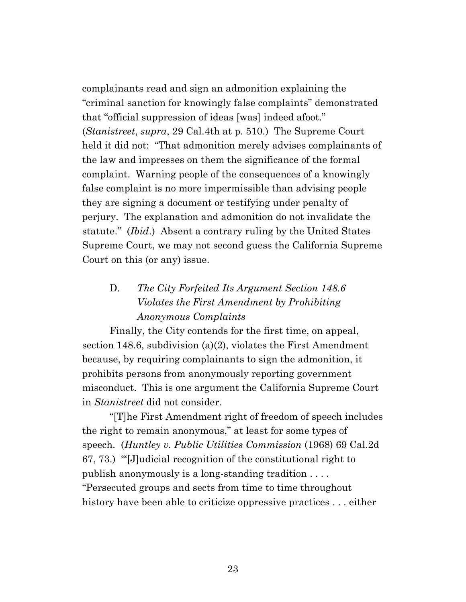complainants read and sign an admonition explaining the "criminal sanction for knowingly false complaints" demonstrated that "official suppression of ideas [was] indeed afoot." (*Stanistreet*, *supra*, 29 Cal.4th at p. 510.) The Supreme Court held it did not: "That admonition merely advises complainants of the law and impresses on them the significance of the formal complaint. Warning people of the consequences of a knowingly false complaint is no more impermissible than advising people they are signing a document or testifying under penalty of perjury. The explanation and admonition do not invalidate the statute." (*Ibid*.) Absent a contrary ruling by the United States Supreme Court, we may not second guess the California Supreme Court on this (or any) issue.

# D. *The City Forfeited Its Argument Section 148.6 Violates the First Amendment by Prohibiting Anonymous Complaints*

Finally, the City contends for the first time, on appeal, section 148.6, subdivision (a)(2), violates the First Amendment because, by requiring complainants to sign the admonition, it prohibits persons from anonymously reporting government misconduct. This is one argument the California Supreme Court in *Stanistreet* did not consider.

"[T]he First Amendment right of freedom of speech includes the right to remain anonymous," at least for some types of speech. (*Huntley v. Public Utilities Commission* (1968) 69 Cal.2d 67, 73.) "'[J]udicial recognition of the constitutional right to publish anonymously is a long-standing tradition . . . . "Persecuted groups and sects from time to time throughout history have been able to criticize oppressive practices ... either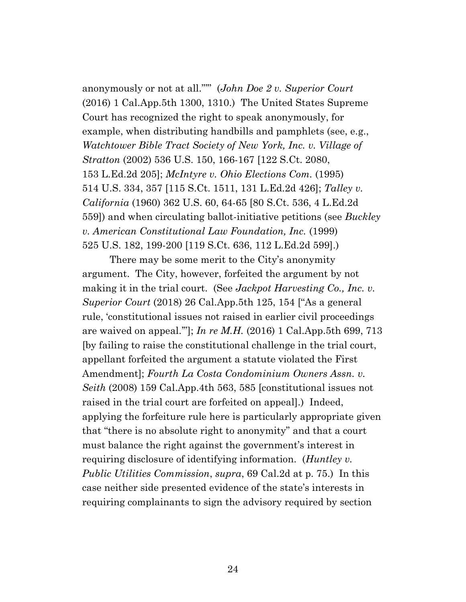anonymously or not at all."'" (*John Doe 2 v. Superior Court*  (2016) 1 Cal.App.5th 1300, 1310.) The United States Supreme Court has recognized the right to speak anonymously, for example, when distributing handbills and pamphlets (see, e.g., *Watchtower Bible Tract Society of New York, Inc. v. Village of Stratton* (2002) 536 U.S. 150, 166-167 [122 S.Ct. 2080, 153 L.Ed.2d 205]; *McIntyre v. Ohio Elections Com.* (1995) 514 U.S. 334, 357 [115 S.Ct. 1511, 131 L.Ed.2d 426]; *Talley v. California* (1960) 362 U.S. 60, 64-65 [80 S.Ct. 536, 4 L.Ed.2d 559]) and when circulating ballot-initiative petitions (see *Buckley v. American Constitutional Law Foundation, Inc.* (1999) 525 U.S. 182, 199-200 [119 S.Ct. 636, 112 L.Ed.2d 599].)

There may be some merit to the City's anonymity argument. The City, however, forfeited the argument by not making it in the trial court. (See *Jackpot Harvesting Co., Inc. v. Superior Court* (2018) 26 Cal.App.5th 125, 154 ["As a general rule, 'constitutional issues not raised in earlier civil proceedings are waived on appeal.'"]; *In re M.H.* (2016) 1 Cal.App.5th 699, 713 [by failing to raise the constitutional challenge in the trial court, appellant forfeited the argument a statute violated the First Amendment]; *Fourth La Costa Condominium Owners Assn. v. Seith* (2008) 159 Cal.App.4th 563, 585 [constitutional issues not raised in the trial court are forfeited on appeal].) Indeed, applying the forfeiture rule here is particularly appropriate given that "there is no absolute right to anonymity" and that a court must balance the right against the government's interest in requiring disclosure of identifying information. (*Huntley v. Public Utilities Commission*, *supra*, 69 Cal.2d at p. 75.) In this case neither side presented evidence of the state's interests in requiring complainants to sign the advisory required by section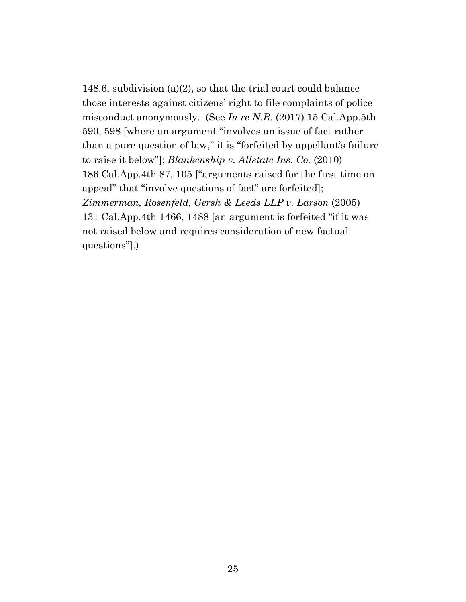148.6, subdivision (a)(2), so that the trial court could balance those interests against citizens' right to file complaints of police misconduct anonymously. (See *In re N.R.* (2017) 15 Cal.App.5th 590, 598 [where an argument "involves an issue of fact rather than a pure question of law," it is "forfeited by appellant's failure to raise it below"]; *Blankenship v. Allstate Ins. Co.* (2010) 186 Cal.App.4th 87, 105 ["arguments raised for the first time on appeal" that "involve questions of fact" are forfeited]; *Zimmerman, Rosenfeld, Gersh & Leeds LLP v. Larson* (2005) 131 Cal.App.4th 1466, 1488 [an argument is forfeited "if it was not raised below and requires consideration of new factual questions"].)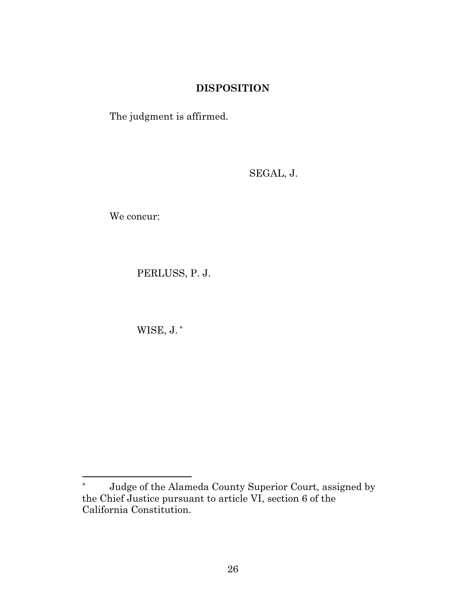### **DISPOSITION**

The judgment is affirmed.

SEGAL, J.

We concur:

PERLUSS, P. J.

WISE, J. \*

<sup>\*</sup> Judge of the Alameda County Superior Court, assigned by the Chief Justice pursuant to article VI, section 6 of the California Constitution.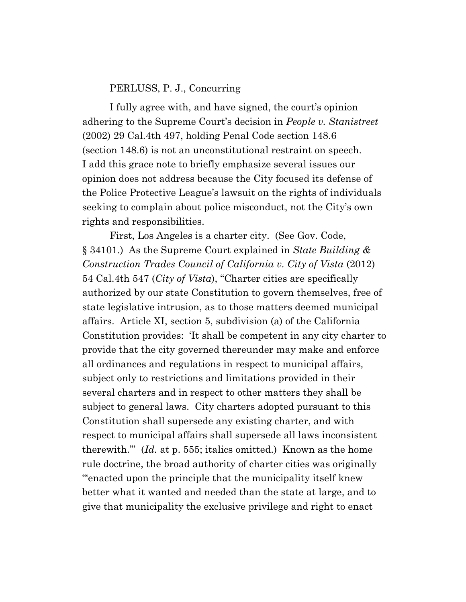#### PERLUSS, P. J., Concurring

I fully agree with, and have signed, the court's opinion adhering to the Supreme Court's decision in *People v. Stanistreet* (2002) 29 Cal.4th 497, holding Penal Code section 148.6 (section 148.6) is not an unconstitutional restraint on speech. I add this grace note to briefly emphasize several issues our opinion does not address because the City focused its defense of the Police Protective League's lawsuit on the rights of individuals seeking to complain about police misconduct, not the City's own rights and responsibilities.

First, Los Angeles is a charter city. (See Gov. Code, § 34101.) As the Supreme Court explained in *State Building & Construction Trades Council of California v. City of Vista* (2012) 54 Cal.4th 547 (*City of Vista*), "Charter cities are specifically authorized by our state Constitution to govern themselves, free of state legislative intrusion, as to those matters deemed municipal affairs. Article XI, section 5, subdivision (a) of the California Constitution provides: 'It shall be competent in any city charter to provide that the city governed thereunder may make and enforce all ordinances and regulations in respect to municipal affairs*,* subject only to restrictions and limitations provided in their several charters and in respect to other matters they shall be subject to general laws. City charters adopted pursuant to this Constitution shall supersede any existing charter, and with respect to municipal affairs shall supersede all laws inconsistent therewith.'" (*Id.* at p. 555; italics omitted.) Known as the home rule doctrine, the broad authority of charter cities was originally "'enacted upon the principle that the municipality itself knew better what it wanted and needed than the state at large, and to give that municipality the exclusive privilege and right to enact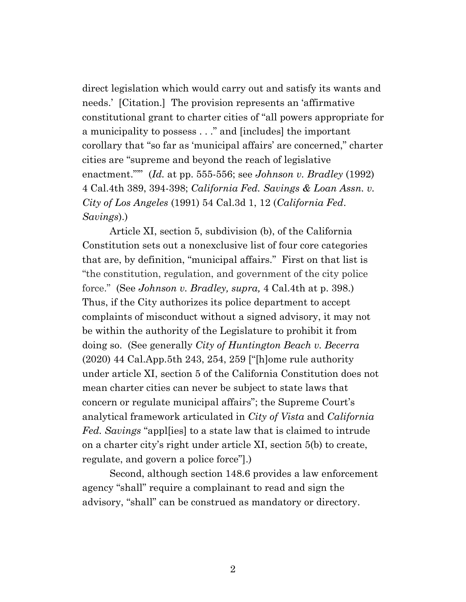direct legislation which would carry out and satisfy its wants and needs.' [Citation.] The provision represents an 'affirmative constitutional grant to charter cities of "all powers appropriate for a municipality to possess . . ." and [includes] the important corollary that "so far as 'municipal affairs' are concerned," charter cities are "supreme and beyond the reach of legislative enactment."'" (*Id.* at pp. 555-556; see *Johnson v. Bradley* (1992) 4 Cal.4th 389, 394-398; *California Fed. Savings & Loan Assn. v. City of Los Angeles* (1991) 54 Cal.3d 1, 12 (*California Fed*. *Savings*).)

Article XI, section 5, subdivision (b), of the California Constitution sets out a nonexclusive list of four core categories that are, by definition, "municipal affairs." First on that list is "the constitution, regulation, and government of the city police force." (See *Johnson v. Bradley, supra,* 4 Cal.4th at p. 398.) Thus, if the City authorizes its police department to accept complaints of misconduct without a signed advisory, it may not be within the authority of the Legislature to prohibit it from doing so. (See generally *City of Huntington Beach v. Becerra* (2020) 44 Cal.App.5th 243, 254, 259 ["[h]ome rule authority under article XI, section 5 of the California Constitution does not mean charter cities can never be subject to state laws that concern or regulate municipal affairs"; the Supreme Court's analytical framework articulated in *City of Vista* and *California Fed. Savings* "appl[ies] to a state law that is claimed to intrude on a charter city's right under article XI, section 5(b) to create, regulate, and govern a police force"].)

Second, although section 148.6 provides a law enforcement agency "shall" require a complainant to read and sign the advisory, "shall" can be construed as mandatory or directory.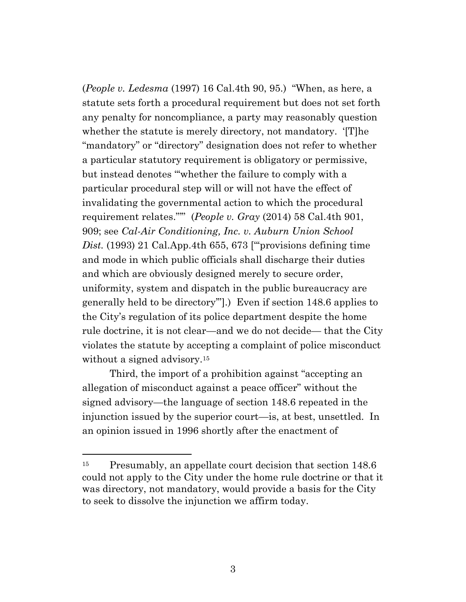(*People v. Ledesma* (1997) 16 Cal.4th 90, 95.) "When, as here, a statute sets forth a procedural requirement but does not set forth any penalty for noncompliance, a party may reasonably question whether the statute is merely directory, not mandatory. '[T]he "mandatory" or "directory" designation does not refer to whether a particular statutory requirement is obligatory or permissive, but instead denotes "'whether the failure to comply with a particular procedural step will or will not have the effect of invalidating the governmental action to which the procedural requirement relates."'" (*People v. Gray* (2014) 58 Cal.4th 901, 909; see *Cal-Air Conditioning, Inc. v. Auburn Union School Dist.* (1993) 21 Cal.App.4th 655, 673 ["'provisions defining time and mode in which public officials shall discharge their duties and which are obviously designed merely to secure order, uniformity, system and dispatch in the public bureaucracy are generally held to be directory'"].) Even if section 148.6 applies to the City's regulation of its police department despite the home rule doctrine, it is not clear—and we do not decide— that the City violates the statute by accepting a complaint of police misconduct without a signed advisory.<sup>15</sup>

Third, the import of a prohibition against "accepting an allegation of misconduct against a peace officer" without the signed advisory—the language of section 148.6 repeated in the injunction issued by the superior court—is, at best, unsettled. In an opinion issued in 1996 shortly after the enactment of

<sup>&</sup>lt;sup>15</sup> Presumably, an appellate court decision that section 148.6 could not apply to the City under the home rule doctrine or that it was directory, not mandatory, would provide a basis for the City to seek to dissolve the injunction we affirm today.